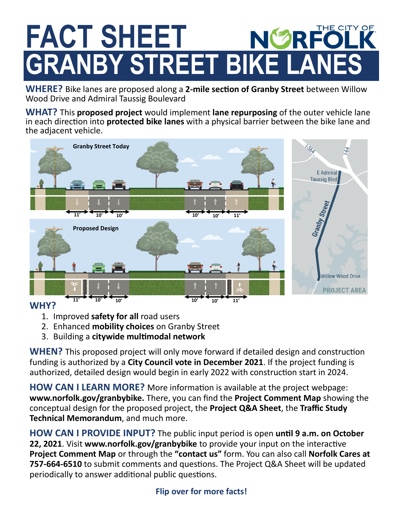## **FACT SHEET NØRFO GRANBY STREET BIKE LANES**

**WHERE?** Bike lanes are proposed along a **2-mile section of Granby Street** between Willow Wood Drive and Admiral Taussig Boulevard

**WHAT?** This **proposed project** would implement **lane repurposing** of the outer vehicle lane in each direction into **protected bike lanes** with a physical barrier between the bike lane and the adjacent vehicle.



#### **WHY?**

- 1. Improved **safety for all** road users
- 2. Enhanced **mobility choices** on Granby Street
- 3. Building a **citywide multimodal network**

**WHEN?** This proposed project will only move forward if detailed design and construction funding is authorized by a **City Council vote in December 2021**. If the project funding is authorized, detailed design would begin in early 2022 with construction start in 2024.

**HOW CAN I LEARN MORE?** More information is available at the project webpage: **www.norfolk.gov/granbybike.** There, you can find the **Project Comment Map** showing the conceptual design for the proposed project, the **Project Q&A Sheet**, the **Traffic Study Technical Memorandum**, and much more.

**HOW CAN I PROVIDE INPUT?** The public input period is open **until 9 a.m. on October 22, 2021**. Visit **www.norfolk.gov/granbybike** to provide your input on the interactive **Project Comment Map** or through the **"contact us"** form. You can also call **Norfolk Cares at 757-664-6510** to submit comments and questions. The Project Q&A Sheet will be updated periodically to answer additional public questions.

### **Flip over for more facts!**